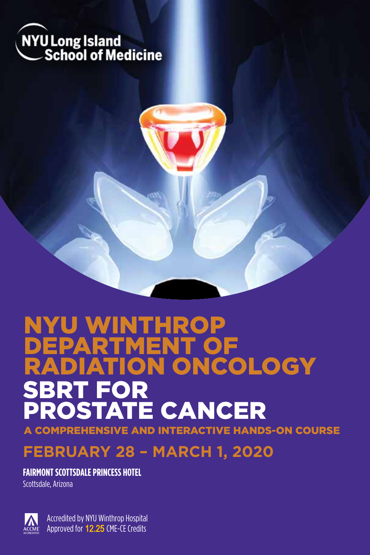



**COMPREHENSIVE AND INTERACTIVE HANDS-ON COURSE** 

## **FEBRUARY 28 – MARCH 1, 2020**

**FAIRMONT SCOTTSDALE PRINCESS HOTEL**

Scottsdale, Arizona



Accredited by NYU Winthrop Hospital Approved for 12.25 CME-CE Credits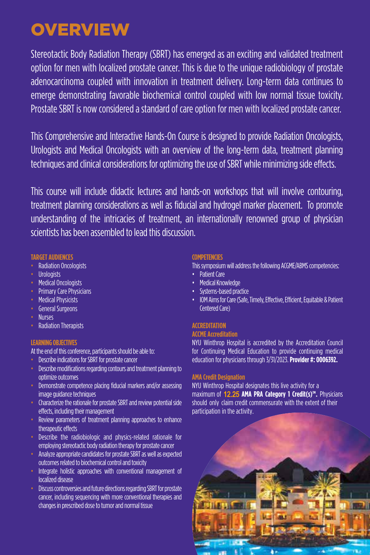## **OVERVIEW**

Stereotactic Body Radiation Therapy (SBRT) has emerged as an exciting and validated treatment option for men with localized prostate cancer. This is due to the unique radiobiology of prostate adenocarcinoma coupled with innovation in treatment delivery. Long-term data continues to emerge demonstrating favorable biochemical control coupled with low normal tissue toxicity. Prostate SBRT is now considered a standard of care option for men with localized prostate cancer.

This Comprehensive and Interactive Hands-On Course is designed to provide Radiation Oncologists, Urologists and Medical Oncologists with an overview of the long-term data, treatment planning techniques and clinical considerations for optimizing the use of SBRT while minimizing side effects.

This course will include didactic lectures and hands-on workshops that will involve contouring, treatment planning considerations as well as fiducial and hydrogel marker placement. To promote understanding of the intricacies of treatment, an internationally renowned group of physician scientists has been assembled to lead this discussion.

#### **TARGET AUDIENCES**

- Radiation Oncologists
- **Urologists**
- Medical Oncologists
- **Primary Care Physicians**
- Medical Physicists
- General Surgeons
- Nurses
- Radiation Therapists

## **LEARNING OBJECTIVES**

At the end of this conference, participants should be able to:

- Describe indications for SBRT for prostate cancer
- Describe modifications regarding contours and treatment planning to optimize outcomes
- Demonstrate competence placing fiducial markers and/or assessing image guidance techniques
- Characterize the rationale for prostate SBRT and review potential side effects, including their management
- Review parameters of treatment planning approaches to enhance therapeutic effects
- Describe the radiobiologic and physics-related rationale for employing stereotactic body radiation therapy for prostate cancer
- Analyze appropriate candidates for prostate SBRT as well as expected outcomes related to biochemical control and toxicity
- Integrate holistic approaches with conventional management of localized disease
- Discuss controversies and future directions regarding SBRT for prostate cancer, including sequencing with more conventional therapies and changes in prescribed dose to tumor and normal tissue

## **COMPETENCIES**

- This symposium will address the following ACGME/ABMS competencies:
- Patient Care
- Medical Knowledge
- Systems-based practice
- IOM Aims for Care (Safe, Timely, Effective, Efficient, Equitable & Patient Centered Care)

## **ACCREDITATION**

## **ACCME Accreditation**

NYU Winthrop Hospital is accredited by the Accreditation Council for Continuing Medical Education to provide continuing medical education for physicians through 3/31/2023. **Provider #: 0006392.**

## **AMA Credit Designation**

NYU Winthrop Hospital designates this live activity for a maximum of 12.25 **AMA PRA Category 1 Credit(s)™.** Physicians should only claim credit commensurate with the extent of their participation in the activity.

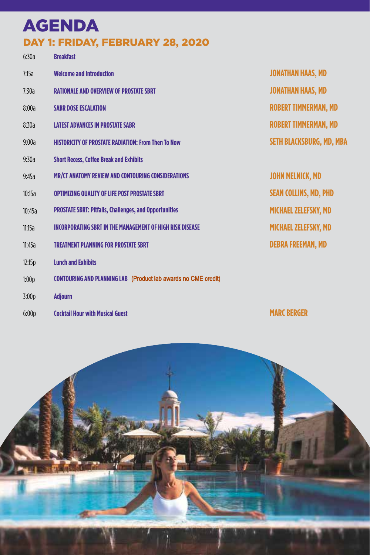## AGENDA DAY 1: FRIDAY, FEBRUARY 28, 2020

| 6:30a  | <b>Breakfast</b>                                                 |                                 |
|--------|------------------------------------------------------------------|---------------------------------|
| 7:15a  | <b>Welcome and Introduction</b>                                  | <b>JONATHAN HAAS, MD</b>        |
| 7:30a  | <b>RATIONALE AND OVERVIEW OF PROSTATE SBRT</b>                   | <b>JONATHAN HAAS, MD</b>        |
| 8:00a  | <b>SABR DOSE ESCALATION</b>                                      | <b>ROBERT TIMMERMAN, MD</b>     |
| 8:30a  | <b>LATEST ADVANCES IN PROSTATE SABR</b>                          | <b>ROBERT TIMMERMAN, MD</b>     |
| 9:00a  | <b>HISTORICITY OF PROSTATE RADIATION: From Then To Now</b>       | <b>SETH BLACKSBURG, MD, MBA</b> |
| 9:30a  | <b>Short Recess, Coffee Break and Exhibits</b>                   |                                 |
| 9:45a  | MR/CT ANATOMY REVIEW AND CONTOURING CONSIDERATIONS               | <b>JOHN MELNICK, MD</b>         |
| 10:15a | <b>OPTIMIZING QUALITY OF LIFE POST PROSTATE SBRT</b>             | <b>SEAN COLLINS, MD, PHD</b>    |
| 10:45a | <b>PROSTATE SBRT: Pitfalls, Challenges, and Opportunities</b>    | <b>MICHAEL ZELEFSKY, MD</b>     |
| 11:15a | <b>INCORPORATING SBRT IN THE MANAGEMENT OF HIGH RISK DISEASE</b> | <b>MICHAEL ZELEFSKY, MD</b>     |
| 11:45a | <b>TREATMENT PLANNING FOR PROSTATE SBRT</b>                      | <b>DEBRA FREEMAN, MD</b>        |
| 12:15p | <b>Lunch and Exhibits</b>                                        |                                 |
| 1:00p  | CONTOURING AND PLANNING LAB (Product lab awards no CME credit)   |                                 |
| 3:00p  | <b>Adiourn</b>                                                   |                                 |

6:00p **Cocktail Hour with Musical Guest** **MARC BERGER**

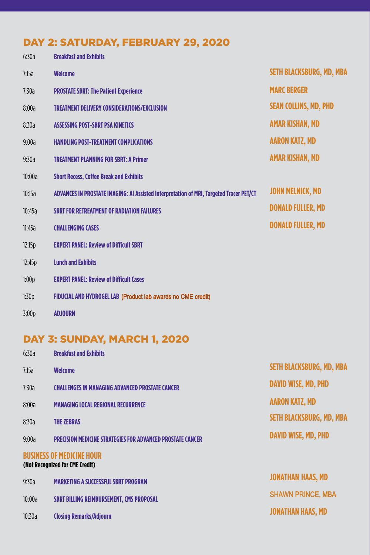## DAY 2: SATURDAY, FEBRUARY 29, 2020

| 6:30a  | <b>Breakfast and Exhibits</b>                                                           |                                 |
|--------|-----------------------------------------------------------------------------------------|---------------------------------|
| 7:15a  | <b>Welcome</b>                                                                          | <b>SETH BLACKSBURG, MD, MBA</b> |
| 7:30a  | <b>PROSTATE SBRT: The Patient Experience</b>                                            | <b>MARC BERGER</b>              |
| 8:00a  | <b>TREATMENT DELIVERY CONSIDERATIONS/EXCLUSION</b>                                      | <b>SEAN COLLINS, MD, PHD</b>    |
| 8:30a  | <b>ASSESSING POST-SBRT PSA KINETICS</b>                                                 | <b>AMAR KISHAN, MD</b>          |
| 9:00a  | <b>HANDLING POST-TREATMENT COMPLICATIONS</b>                                            | <b>AARON KATZ, MD</b>           |
| 9:30a  | <b>TREATMENT PLANNING FOR SBRT: A Primer</b>                                            | <b>AMAR KISHAN, MD</b>          |
| 10:00a | <b>Short Recess, Coffee Break and Exhibits</b>                                          |                                 |
| 10:15a | ADVANCES IN PROSTATE IMAGING: AI Assisted Interpretation of MRI, Targeted Tracer PET/CT | <b>JOHN MELNICK, MD</b>         |
| 10:45a | <b>SBRT FOR RETREATMENT OF RADIATION FAILURES</b>                                       | <b>DONALD FULLER, MD</b>        |
| 11:45a | <b>CHALLENGING CASES</b>                                                                | <b>DONALD FULLER, MD</b>        |
| 12:15p | <b>EXPERT PANEL: Review of Difficult SBRT</b>                                           |                                 |
| 12:45p | <b>Lunch and Exhibits</b>                                                               |                                 |
| 1:00p  | <b>EXPERT PANEL: Review of Difficult Cases</b>                                          |                                 |
| 1:30p  | FIDUCIAL AND HYDROGEL LAB (Product lab awards no CME credit)                            |                                 |
| 3:00p  | <b>ADJOURN</b>                                                                          |                                 |

## DAY 3: SUNDAY, MARCH 1, 2020

| <b>Breakfast and Exhibits</b>                                       |                                 |
|---------------------------------------------------------------------|---------------------------------|
| <b>Welcome</b>                                                      | <b>SETH BLACKSBURG, MD, MBA</b> |
| <b>CHALLENGES IN MANAGING ADVANCED PROSTATE CANCER</b>              | <b>DAVID WISE, MD, PHD</b>      |
| <b>MANAGING LOCAL REGIONAL RECURRENCE</b>                           | <b>AARON KATZ, MD</b>           |
| <b>THE ZEBRAS</b>                                                   | <b>SETH BLACKSBURG, MD, MBA</b> |
| <b>PRECISION MEDICINE STRATEGIES FOR ADVANCED PROSTATE CANCER</b>   | <b>DAVID WISE, MD, PHD</b>      |
| <b>BUSINESS OF MEDICINE HOUR</b><br>(Not Recognized for CME Credit) |                                 |
| <b>MARKETING A SUCCESSFUL SBRT PROGRAM</b>                          | <b>JONATHAN HAAS, MD</b>        |
| SBRT BILLING REIMBURSEMENT, CMS PROPOSAL                            | <b>SHAWN PRINCE, MBA</b>        |
| <b>Closing Remarks/Adiourn</b>                                      | <b>JONATHAN HAAS, MD</b>        |
|                                                                     |                                 |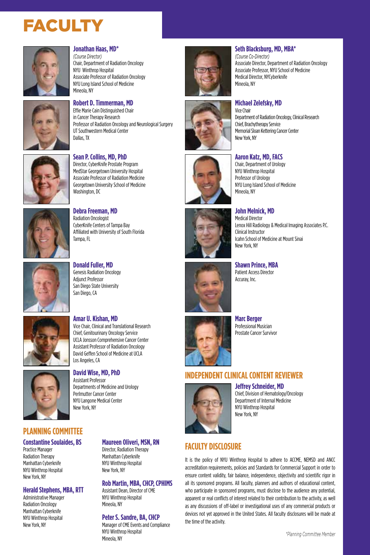# **FACULTY**



#### **Jonathan Haas, MD\***

*(Course Director)* Chair, Department of Radiation Oncology NYU Winthrop Hospital Associate Professor of Radiation Oncology NYU Long Island School of Medicine Mineola, NY



#### **Robert D. Timmerman, MD** Effie Marie Cain Distinguished Chair in Cancer Therapy Research

Professor of Radiation Oncology and Neurological Surgery UT Southwestern Medical Center Dallas, TX



**Sean P. Collins, MD, PhD** Director, CyberKnife Prostate Program MedStar Georgetown University Hospital Associate Professor of Radiation Medicine Georgetown University School of Medicine Washington, DC



**Debra Freeman, MD** Radiation Oncologist CyberKnife Centers of Tampa Bay Affiliated with University of South Florida Tampa, FL



**Donald Fuller, MD** Genesis Radiation Oncology Adjunct Professor San Diego State University San Diego, CA

**Amar U. Kishan, MD**

Assistant Professor





Departments of Medicine and Urology Perlmutter Cancer Center NYU Langone Medical Center New York, NY



## **PLANNING COMMITTEE**

#### **Constantine Soulaides, BS**

Practice Manager Radiation Therapy Manhattan Cyberknife NYU Winthrop Hospital New York, NY

#### **Herald Stephens, MBA, RTT**

Administrative Manager Radiation Oncology Manhattan Cyberknife NYU Winthrop Hospital New York, NY

## **Maureen Oliveri, MSN, RN**

Director, Radiation Therapy Manhattan Cyberknife NYU Winthrop Hospital New York, NY

## **Rob Martin, MBA, CHCP, CPHIMS**

Assistant Dean, Director of CME NYU Winthrop Hospital Mineola, NY

#### **Peter S. Sandre, BA, CHCP**

Manager of CME Events and Compliance NYU Winthrop Hospital Mineola, NY *\*Planning Committee Member*





## **Seth Blacksburg, MD, MBA\***

*(Course Co-Director)* Associate Director, Department of Radiation Oncology Associate Professor, NYU School of Medicine Medical Director, NYCyberknife Mineola, NY

Department of Radiation Oncology, Clinical Research



## **Aaron Katz, MD, FACS**

**Michael Zelefsky, MD** Vice Chair

Chief, Brachytherapy Service Memorial Sloan Kettering Cancer Center

New York, NY

Chair, Department of Urology NYU Winthrop Hospital Professor of Urology NYU Long Island School of Medicine Mineola, NY



Medical Director Lenox Hill Radiology & Medical Imaging Associates P.C. Clinical Instructor Icahn School of Medicine at Mount Sinai New York, NY



**Shawn Prince, MBA** Patient Access Director Accuray, Inc.

**John Melnick, MD**

**Marc Berger**

## Professional Musician Prostate Cancer Survivor

## **INDEPENDENT CLINICAL CONTENT REVIEWER**

#### **Jeffrey Schneider, MD**



Chief, Division of Hematology/Oncology Department of Internal Medicine NYU Winthrop Hospital New York, NY

## **FACULTY DISCLOSURE**

It is the policy of NYU Winthrop Hospital to adhere to ACCME, NEMSD and ANCC accreditation requirements, policies and Standards for Commercial Support in order to ensure content validity, fair balance, independence, objectivity and scientific rigor in all its sponsored programs. All faculty, planners and authors of educational content, who participate in sponsored programs, must disclose to the audience any potential, apparent or real conflicts of interest related to their contribution to the activity, as well as any discussions of off-label or investigational uses of any commercial products or devices not yet approved in the United States. All faculty disclosures will be made at the time of the activity.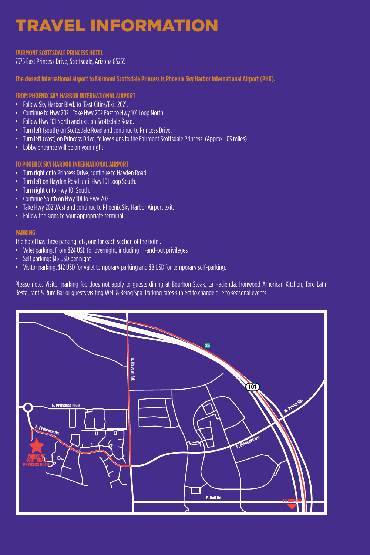# TRAVEL INFORMATION

#### **FAIRMONT SCOTTSDALE PRINCESS HOTEL**

7575 East Princess Drive, Scottsdale, Arizona 85255

**The closest international airport to Fairmont Scottsdale Princess is Phoenix Sky Harbor International Airport (PHX).**

## **FROM PHOENIX SKY HARBOR INTERNATIONAL AIRPORT**

- Follow Sky Harbor Blvd. to 'East Cities/Exit 202'.
- Continue to Hwy 202. Take Hwy 202 East to Hwy 101 Loop North.
- Follow Hwy 101 North and exit on Scottsdale Road.
- Turn left (south) on Scottsdale Road and continue to Princess Drive.
- Turn left (east) on Princess Drive, follow signs to the Fairmont Scottsdale Princess. (Approx. .03 miles)
- Lobby entrance will be on your right.

## **TO PHOENIX SKY HARBOR INTERNATIONAL AIRPORT**

- Turn right onto Princess Drive, continue to Hayden Road.
- Turn left on Hayden Road until Hwy 101 Loop South.
- Turn right onto Hwy 101 South.
- Continue South on Hwy 101 to Hwy 202.
- Take Hwy 202 West and continue to Phoenix Sky Harbor Airport exit.
- Follow the signs to your appropriate terminal.

#### **PARKING**

The hotel has three parking lots, one for each section of the hotel.

- Valet parking: From \$24 USD for overnight, including in-and-out privileges
- Self parking: \$15 USD per night
- Visitor parking: \$12 USD for valet temporary parking and \$8 USD for temporary self-parking.

Please note: Visitor parking fee does not apply to guests dining at Bourbon Steak, La Hacienda, Ironwood American Kitchen, Toro Latin Restaurant & Rum Bar or guests visiting Well & Being Spa. Parking rates subject to change due to seasonal events.

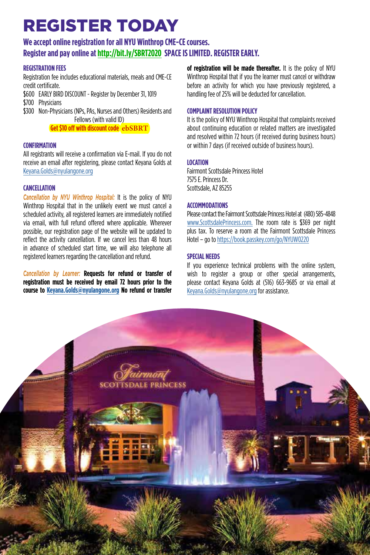# REGISTER TODAY

## **We accept online registration for all NYU Winthrop CME-CE courses.**

## **Register and pay online at http://bit.ly/SBRT2020 SPACE IS LIMITED. REGISTER EARLY.**

## **REGISTRATION FEES**

Registration fee includes educational materials, meals and CME-CE credit certificate.

\$600 EARLY BIRD DISCOUNT - Register by December 31, 1019 \$700 Physicians

\$300 Non-Physicians (NPs, PAs, Nurses and Others) Residents and Fellows (with valid ID)

**Get \$10 off with discount code ebSBRT**

## **CONFIRMATION**

All registrants will receive a confirmation via E-mail. If you do not receive an email after registering, please contact Keyana Golds at Keyana.Golds@nyulangone.org

## **CANCELLATION**

*Cancellation by NYU Winthrop Hospital:* It is the policy of NYU Winthrop Hospital that in the unlikely event we must cancel a scheduled activity, all registered learners are immediately notified via email, with full refund offered where applicable. Wherever possible, our registration page of the website will be updated to reflect the activity cancellation. If we cancel less than 48 hours in advance of scheduled start time, we will also telephone all registered learners regarding the cancellation and refund.

*Cancellation by Learner:* **Requests for refund or transfer of registration must be received by email 72 hours prior to the course to Keyana.Golds@nyulangone.org No refund or transfer**  **of registration will be made thereafter.** It is the policy of NYU Winthrop Hospital that if you the learner must cancel or withdraw before an activity for which you have previously registered, a handling fee of 25% will be deducted for cancellation.

## **COMPLAINT RESOLUTION POLICY**

It is the policy of NYU Winthrop Hospital that complaints received about continuing education or related matters are investigated and resolved within 72 hours (if received during business hours) or within 7 days (if received outside of business hours).

## **LOCATION**

Fairmont Scottsdale Princess Hotel 7575 E. Princess Dr. Scottsdale, AZ 85255

## **ACCOMMODATIONS**

Please contact the Fairmont Scottsdale Princess Hotel at (480) 585-4848 www.ScottsdalePrincess.com. The room rate is \$369 per night plus tax. To reserve a room at the Fairmont Scottsdale Princess Hotel – go to https://book.passkey.com/go/NYUW0220

## **SPECIAL NEEDS**

If you experience technical problems with the online system, wish to register a group or other special arrangements, please contact Keyana Golds at (516) 663-9685 or via email at Keyana.Golds@nyulangone.org for assistance.